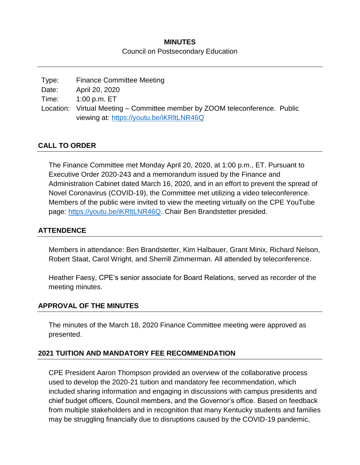# **MINUTES** Council on Postsecondary Education

| Type: | <b>Finance Committee Meeting</b>                                            |  |
|-------|-----------------------------------------------------------------------------|--|
| Date: | April 20, 2020                                                              |  |
|       | Time: 1:00 p.m. ET                                                          |  |
|       | Location: Virtual Meeting – Committee member by ZOOM teleconference. Public |  |
|       | viewing at: https://youtu.be/iKRItLNR46Q                                    |  |

# **CALL TO ORDER**

The Finance Committee met Monday April 20, 2020, at 1:00 p.m., ET. Pursuant to Executive Order 2020-243 and a memorandum issued by the Finance and Administration Cabinet dated March 16, 2020, and in an effort to prevent the spread of Novel Coronavirus (COVID-19), the Committee met utilizing a video teleconference. Members of the public were invited to view the meeting virtually on the CPE YouTube page: https://youtu.be/iKRItLNR46Q. Chair Ben Brandstetter presided.

## **ATTENDENCE**

Members in attendance: Ben Brandstetter, Kim Halbauer, Grant Minix, Richard Nelson, Robert Staat, Carol Wright, and Sherrill Zimmerman. All attended by teleconference.

Heather Faesy, CPE's senior associate for Board Relations, served as recorder of the meeting minutes.

#### **APPROVAL OF THE MINUTES**

The minutes of the March 18, 2020 Finance Committee meeting were approved as presented.

#### **2021 TUITION AND MANDATORY FEE RECOMMENDATION**

CPE President Aaron Thompson provided an overview of the collaborative process used to develop the 2020-21 tuition and mandatory fee recommendation, which included sharing information and engaging in discussions with campus presidents and chief budget officers, Council members, and the Governor's office. Based on feedback from multiple stakeholders and in recognition that many Kentucky students and families may be struggling financially due to disruptions caused by the COVID-19 pandemic,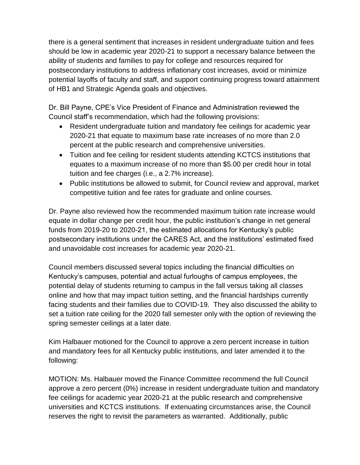there is a general sentiment that increases in resident undergraduate tuition and fees should be low in academic year 2020-21 to support a necessary balance between the ability of students and families to pay for college and resources required for postsecondary institutions to address inflationary cost increases, avoid or minimize potential layoffs of faculty and staff, and support continuing progress toward attainment of HB1 and Strategic Agenda goals and objectives.

Dr. Bill Payne, CPE's Vice President of Finance and Administration reviewed the Council staff's recommendation, which had the following provisions:

- Resident undergraduate tuition and mandatory fee ceilings for academic year 2020-21 that equate to maximum base rate increases of no more than 2.0 percent at the public research and comprehensive universities.
- Tuition and fee ceiling for resident students attending KCTCS institutions that equates to a maximum increase of no more than \$5.00 per credit hour in total tuition and fee charges (i.e., a 2.7% increase).
- Public institutions be allowed to submit, for Council review and approval, market competitive tuition and fee rates for graduate and online courses.

Dr. Payne also reviewed how the recommended maximum tuition rate increase would equate in dollar change per credit hour, the public institution's change in net general funds from 2019-20 to 2020-21, the estimated allocations for Kentucky's public postsecondary institutions under the CARES Act, and the institutions' estimated fixed and unavoidable cost increases for academic year 2020-21.

Council members discussed several topics including the financial difficulties on Kentucky's campuses, potential and actual furloughs of campus employees, the potential delay of students returning to campus in the fall versus taking all classes online and how that may impact tuition setting, and the financial hardships currently facing students and their families due to COVID-19. They also discussed the ability to set a tuition rate ceiling for the 2020 fall semester only with the option of reviewing the spring semester ceilings at a later date.

Kim Halbauer motioned for the Council to approve a zero percent increase in tuition and mandatory fees for all Kentucky public institutions, and later amended it to the following:

MOTION: Ms. Halbauer moved the Finance Committee recommend the full Council approve a zero percent (0%) increase in resident undergraduate tuition and mandatory fee ceilings for academic year 2020-21 at the public research and comprehensive universities and KCTCS institutions. If extenuating circumstances arise, the Council reserves the right to revisit the parameters as warranted. Additionally, public